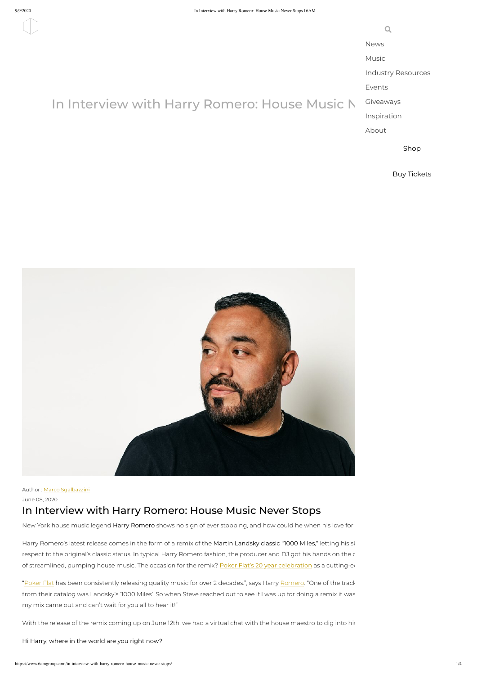$\mathbf Q$ 

Author : Marco [Sgalbazzini](https://www.6amgroup.com/author/marco/)

June 08, 2020

## In Interview with Harry Romero: House Music Never Stops

New York house music legend Harry Romero shows no sign of ever stopping, and how could he when his love for

Harry Romero's latest release comes in the form of a remix of the Martin Landsky classic "1000 Miles," letting his sl respect to the original's classic status. In typical Harry Romero fashion, the producer and DJ got his hands on the c of streamlined, pumping house music. The occasion for the remix? Poker Flat's 20 year [celebration](https://www.pokerflat-recordings.com/) as a cutting-ed

"[Poker](https://www.6amgroup.com/?s=poker+flat) Flat has been consistently releasing quality music for over 2 decades.", says Harry [Romero](https://www.6amgroup.com/?s=harry+romero). "One of the track from their catalog was Landsky's '1000 Miles'. So when Steve reached out to see if I was up for doing a remix it was my mix came out and can't wait for you all to hear it!"

With the release of the remix coming up on June 12th, we had a virtual chat with the house maestro to dig into his

Hi Harry, where in the world are you right now?

[News](https://www.6amgroup.com/category/news-features/)

[Music](https://www.6amgroup.com/category/music/)

Industry [Resources](https://www.6amgroup.com/category/industry-resources/)

[Events](https://www.6amgroup.com/category/events/)

# In Interview with Harry Romero: House Music N

Giveaways [Inspiration](https://www.6amgroup.com/category/inspiration/)

[About](https://www.6amgroup.com/about/)

[Shop](https://shopby6am.com/)

Buy [Tickets](https://www.residentadvisor.net/promoter.aspx?id=27171)

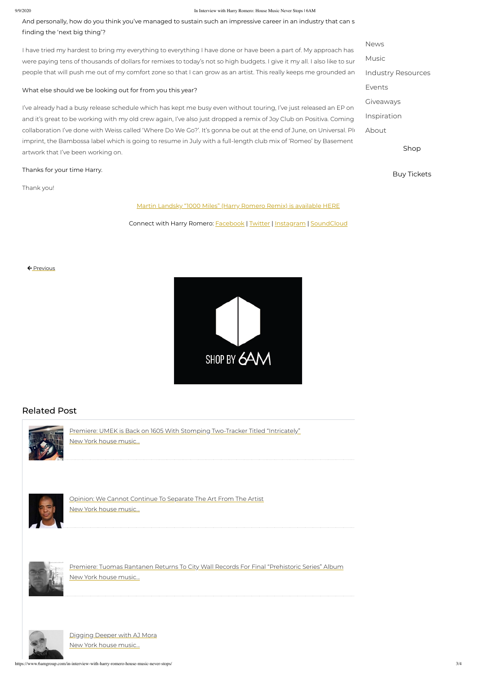#### 9/9/2020 In Interview with Harry Romero: House Music Never Stops | 6AM

And personally, how do you think you've managed to sustain such an impressive career in an industry that can s finding the 'next big thing'?

I have tried my hardest to bring my everything to everything I have done or have been a part of. My approach has were paying tens of thousands of dollars for remixes to today's not so high budgets. I give it my all. I also like to sur people that will push me out of my comfort zone so that I can grow as an artist. This really keeps me grounded an

https://www.6amgroup.com/in-interview-with-harry-romero-house-music-never-stops/ 3/4



I've already had a busy release schedule which has kept me busy even without touring, I've just released an EP on and it's great to be working with my old crew again, I've also just dropped a remix of Joy Club on Positiva. Coming collaboration I've done with Weiss called 'Where Do We Go?'. It's gonna be out at the end of June, on Universal. Plu imprint, the Bambossa label which is going to resume in July with a full-length club mix of 'Romeo' by Basement artwork that I've been working on.

#### What else should we be looking out for from you this year?

Thanks for your time Harry.

Thank you!

Martin Landsky "1000 Miles" (Harry Romero Remix) is [available](https://pokerflat.lnk.to/pfr231) HERE

Connect with Harry Romero: **[Facebook](https://www.facebook.com/harryromero) | [Twitter](https://twitter.com/harrychoochoo) | [Instagram](https://www.instagram.com/harryromeroofficial/) | [SoundCloud](https://soundcloud.com/harryromero)** 

### Related Post



Premiere: UMEK is Back on 1605 With Stomping [Two-Tracker](https://www.6amgroup.com/premiere-umek-is-back-on-1605-with-stomping-two-tracker-titled-intricately/) Titled "Intricately"

New York house music...



Opinion: We Cannot [Continue](https://www.6amgroup.com/opinion-we-cannot-continue-to-separate-the-art-from-the-artist/) To Separate The Art From The Artist

New York house music...



Premiere: Tuomas Rantanen Returns To City Wall Records For Final ["Prehistoric](https://www.6amgroup.com/premiere-tuomas-rantanen-returns-to-city-wall-records-for-final-prehistoric-series-album/) Series" Album

New York house music...



[Digging](https://www.6amgroup.com/digging-deeper-with-aj-mora/) Deeper with AJ Mora

New York house music...

[News](https://www.6amgroup.com/category/news-features/) Music Industry [Resources](https://www.6amgroup.com/category/industry-resources/) [Events](https://www.6amgroup.com/category/events/) [Giveaways](https://www.6amgroup.com/category/giveaways/) [Inspiration](https://www.6amgroup.com/category/inspiration/) [About](https://www.6amgroup.com/about/)

[Shop](https://shopby6am.com/)



Buy [Tickets](https://www.residentadvisor.net/promoter.aspx?id=27171)